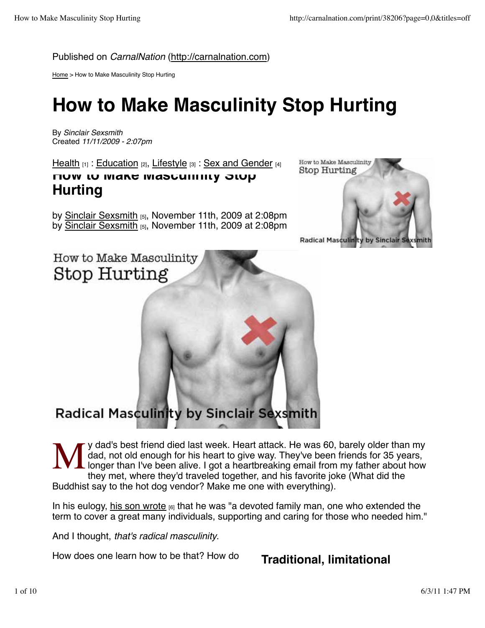Published on *CarnalNation* (http://carnalnation.com)

Home > How to Make Masculinity Stop Hurting

# **How to Make Masculinity Stop Hurting**

By *Sinclair Sexsmith* Created *11/11/2009 - 2:07pm*

Health  $_{[1]}$  : Education  $_{[2]}$ , Lifestyle  $_{[3]}$  : Sex and Gender  $_{[4]}$ 

# **How to Make Masculinity Stop Hurting**

by Sinclair Sexsmith [5], November 11th, 2009 at 2:08pm by Sinclair Sexsmith [5], November 11th, 2009 at 2:08pm



How to Make Masculinity Stop Hurting

# **Radical Masculinity by Sinclair Sexsmith**

M y dad's best friend died last week. Heart attack. He was 60, barely older than my dad, not old enough for his heart to give way. They've been friends for 35 years, longer than I've been alive. I got a heartbreaking email from my father about how they met, where they'd traveled together, and his favorite joke (What did the Buddhist say to the hot dog vendor? Make me one with everything).

In his eulogy, his son wrote  $_{[6]}$  that he was "a devoted family man, one who extended the term to cover a great many individuals, supporting and caring for those who needed him."

And I thought, *that's radical masculinity*.

How does one learn how to be that? How do

# **Traditional, limitational**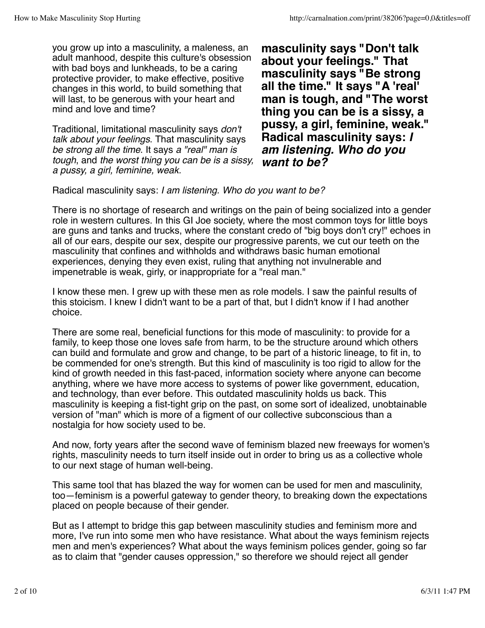you grow up into a masculinity, a maleness, an adult manhood, despite this culture's obsession with bad boys and lunkheads, to be a caring protective provider, to make effective, positive changes in this world, to build something that will last, to be generous with your heart and mind and love and time?

Traditional, limitational masculinity says *don't talk about your feelings*. That masculinity says *be strong all the time*. It says *a "real" man is tough*, and *the worst thing you can be is a sissy, a pussy, a girl, feminine, weak.*

**masculinity says "Don't talk about your feelings." That masculinity says "Be strong all the time." It says "A 'real' man is tough, and "The worst thing you can be is a sissy, a pussy, a girl, feminine, weak." Radical masculinity says:** *I am listening. Who do you want to be?*

Radical masculinity says: *I am listening. Who do you want to be?*

There is no shortage of research and writings on the pain of being socialized into a gender role in western cultures. In this GI Joe society, where the most common toys for little boys are guns and tanks and trucks, where the constant credo of "big boys don't cry!" echoes in all of our ears, despite our sex, despite our progressive parents, we cut our teeth on the masculinity that confines and withholds and withdraws basic human emotional experiences, denying they even exist, ruling that anything not invulnerable and impenetrable is weak, girly, or inappropriate for a "real man."

I know these men. I grew up with these men as role models. I saw the painful results of this stoicism. I knew I didn't want to be a part of that, but I didn't know if I had another choice.

There are some real, beneficial functions for this mode of masculinity: to provide for a family, to keep those one loves safe from harm, to be the structure around which others can build and formulate and grow and change, to be part of a historic lineage, to fit in, to be commended for one's strength. But this kind of masculinity is too rigid to allow for the kind of growth needed in this fast-paced, information society where anyone can become anything, where we have more access to systems of power like government, education, and technology, than ever before. This outdated masculinity holds us back. This masculinity is keeping a fist-tight grip on the past, on some sort of idealized, unobtainable version of "man" which is more of a figment of our collective subconscious than a nostalgia for how society used to be.

And now, forty years after the second wave of feminism blazed new freeways for women's rights, masculinity needs to turn itself inside out in order to bring us as a collective whole to our next stage of human well-being.

This same tool that has blazed the way for women can be used for men and masculinity, too—feminism is a powerful gateway to gender theory, to breaking down the expectations placed on people because of their gender.

But as I attempt to bridge this gap between masculinity studies and feminism more and more, I've run into some men who have resistance. What about the ways feminism rejects men and men's experiences? What about the ways feminism polices gender, going so far as to claim that "gender causes oppression," so therefore we should reject all gender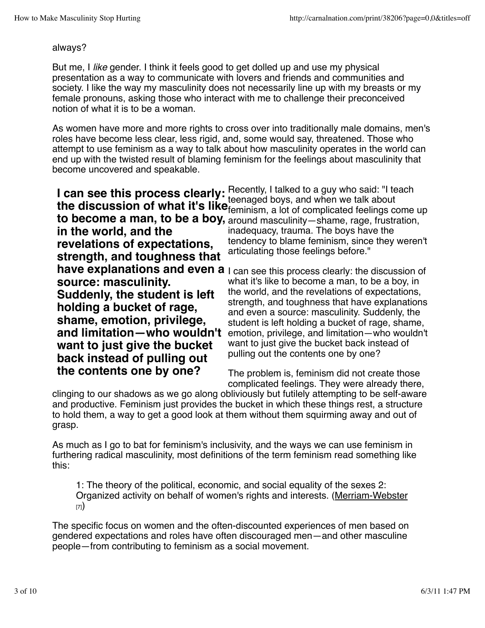#### always?

But me, I *like* gender. I think it feels good to get dolled up and use my physical presentation as a way to communicate with lovers and friends and communities and society. I like the way my masculinity does not necessarily line up with my breasts or my female pronouns, asking those who interact with me to challenge their preconceived notion of what it is to be a woman.

As women have more and more rights to cross over into traditionally male domains, men's roles have become less clear, less rigid, and, some would say, threatened. Those who attempt to use feminism as a way to talk about how masculinity operates in the world can end up with the twisted result of blaming feminism for the feelings about masculinity that become uncovered and speakable.

**I can see this process clearly:** Recently, I talked to a guy who said: "I teach **the discussion of what it's like** feenaged boys, and when we talk about the **discussion of what it's like** feminism, a lot of complicated feelings c **to become a man, to be a boy,** around masculinity—shame, rage, frustration, **in the world, and the revelations of expectations, strength, and toughness that have explanations and even a** I can see this process clearly: the discussion of **source: masculinity. Suddenly, the student is left holding a bucket of rage, shame, emotion, privilege, and limitation—who wouldn't want to just give the bucket back instead of pulling out the contents one by one?** feminism, a lot of complicated feelings come up inadequacy, trauma. The boys have the tendency to blame feminism, since they weren't articulating those feelings before." what it's like to become a man, to be a boy, in the world, and the revelations of expectations, strength, and toughness that have explanations and even a source: masculinity. Suddenly, the student is left holding a bucket of rage, shame, emotion, privilege, and limitation—who wouldn't want to just give the bucket back instead of pulling out the contents one by one?

The problem is, feminism did not create those complicated feelings. They were already there,

clinging to our shadows as we go along obliviously but futilely attempting to be self-aware and productive. Feminism just provides the bucket in which these things rest, a structure to hold them, a way to get a good look at them without them squirming away and out of grasp.

As much as I go to bat for feminism's inclusivity, and the ways we can use feminism in furthering radical masculinity, most definitions of the term feminism read something like this:

1: The theory of the political, economic, and social equality of the sexes 2: Organized activity on behalf of women's rights and interests. (Merriam-Webster [7])

The specific focus on women and the often-discounted experiences of men based on gendered expectations and roles have often discouraged men—and other masculine people—from contributing to feminism as a social movement.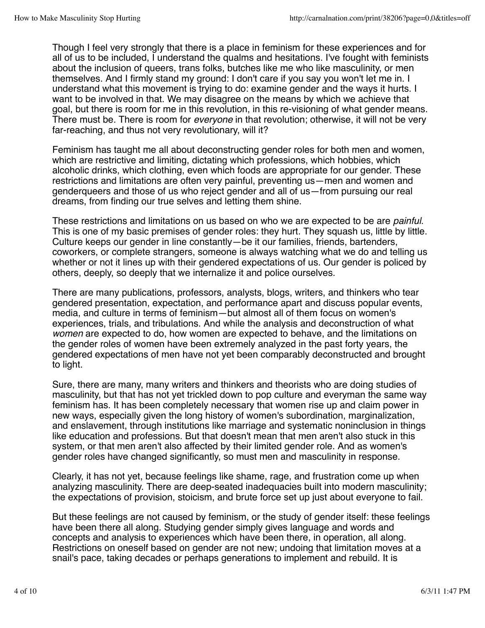Though I feel very strongly that there is a place in feminism for these experiences and for all of us to be included, I understand the qualms and hesitations. I've fought with feminists about the inclusion of queers, trans folks, butches like me who like masculinity, or men themselves. And I firmly stand my ground: I don't care if you say you won't let me in. I understand what this movement is trying to do: examine gender and the ways it hurts. I want to be involved in that. We may disagree on the means by which we achieve that goal, but there is room for me in this revolution, in this re-visioning of what gender means. There must be. There is room for *everyone* in that revolution; otherwise, it will not be very far-reaching, and thus not very revolutionary, will it?

Feminism has taught me all about deconstructing gender roles for both men and women, which are restrictive and limiting, dictating which professions, which hobbies, which alcoholic drinks, which clothing, even which foods are appropriate for our gender. These restrictions and limitations are often very painful, preventing us—men and women and genderqueers and those of us who reject gender and all of us—from pursuing our real dreams, from finding our true selves and letting them shine.

These restrictions and limitations on us based on who we are expected to be are *painful*. This is one of my basic premises of gender roles: they hurt. They squash us, little by little. Culture keeps our gender in line constantly—be it our families, friends, bartenders, coworkers, or complete strangers, someone is always watching what we do and telling us whether or not it lines up with their gendered expectations of us. Our gender is policed by others, deeply, so deeply that we internalize it and police ourselves.

There are many publications, professors, analysts, blogs, writers, and thinkers who tear gendered presentation, expectation, and performance apart and discuss popular events, media, and culture in terms of feminism—but almost all of them focus on women's experiences, trials, and tribulations. And while the analysis and deconstruction of what *women* are expected to do, how women are expected to behave, and the limitations on the gender roles of women have been extremely analyzed in the past forty years, the gendered expectations of men have not yet been comparably deconstructed and brought to light.

Sure, there are many, many writers and thinkers and theorists who are doing studies of masculinity, but that has not yet trickled down to pop culture and everyman the same way feminism has. It has been completely necessary that women rise up and claim power in new ways, especially given the long history of women's subordination, marginalization, and enslavement, through institutions like marriage and systematic noninclusion in things like education and professions. But that doesn't mean that men aren't also stuck in this system, or that men aren't also affected by their limited gender role. And as women's gender roles have changed significantly, so must men and masculinity in response.

Clearly, it has not yet, because feelings like shame, rage, and frustration come up when analyzing masculinity. There are deep-seated inadequacies built into modern masculinity; the expectations of provision, stoicism, and brute force set up just about everyone to fail.

But these feelings are not caused by feminism, or the study of gender itself: these feelings have been there all along. Studying gender simply gives language and words and concepts and analysis to experiences which have been there, in operation, all along. Restrictions on oneself based on gender are not new; undoing that limitation moves at a snail's pace, taking decades or perhaps generations to implement and rebuild. It is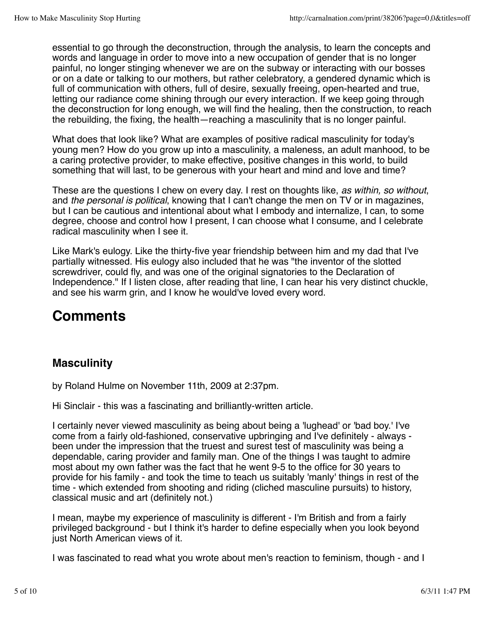essential to go through the deconstruction, through the analysis, to learn the concepts and words and language in order to move into a new occupation of gender that is no longer painful, no longer stinging whenever we are on the subway or interacting with our bosses or on a date or talking to our mothers, but rather celebratory, a gendered dynamic which is full of communication with others, full of desire, sexually freeing, open-hearted and true, letting our radiance come shining through our every interaction. If we keep going through the deconstruction for long enough, we will find the healing, then the construction, to reach the rebuilding, the fixing, the health—reaching a masculinity that is no longer painful.

What does that look like? What are examples of positive radical masculinity for today's young men? How do you grow up into a masculinity, a maleness, an adult manhood, to be a caring protective provider, to make effective, positive changes in this world, to build something that will last, to be generous with your heart and mind and love and time?

These are the questions I chew on every day. I rest on thoughts like, *as within, so without*, and *the personal is political*, knowing that I can't change the men on TV or in magazines, but I can be cautious and intentional about what I embody and internalize, I can, to some degree, choose and control how I present, I can choose what I consume, and I celebrate radical masculinity when I see it.

Like Mark's eulogy. Like the thirty-five year friendship between him and my dad that I've partially witnessed. His eulogy also included that he was "the inventor of the slotted screwdriver, could fly, and was one of the original signatories to the Declaration of Independence." If I listen close, after reading that line, I can hear his very distinct chuckle, and see his warm grin, and I know he would've loved every word.

# **Comments**

# **Masculinity**

by Roland Hulme on November 11th, 2009 at 2:37pm.

Hi Sinclair - this was a fascinating and brilliantly-written article.

I certainly never viewed masculinity as being about being a 'lughead' or 'bad boy.' I've come from a fairly old-fashioned, conservative upbringing and I've definitely - always been under the impression that the truest and surest test of masculinity was being a dependable, caring provider and family man. One of the things I was taught to admire most about my own father was the fact that he went 9-5 to the office for 30 years to provide for his family - and took the time to teach us suitably 'manly' things in rest of the time - which extended from shooting and riding (cliched masculine pursuits) to history, classical music and art (definitely not.)

I mean, maybe my experience of masculinity is different - I'm British and from a fairly privileged background - but I think it's harder to define especially when you look beyond just North American views of it.

I was fascinated to read what you wrote about men's reaction to feminism, though - and I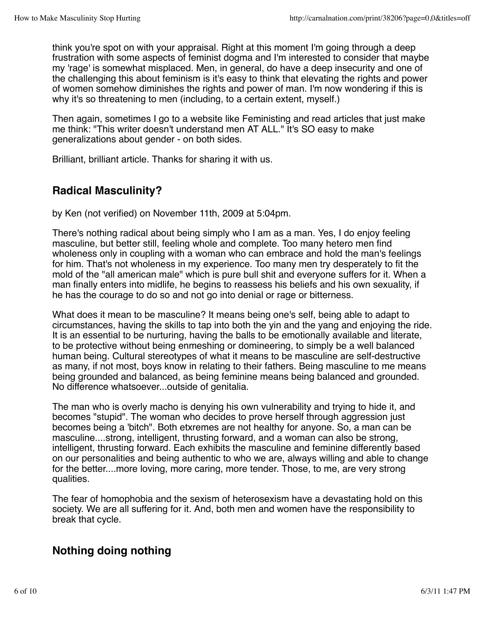think you're spot on with your appraisal. Right at this moment I'm going through a deep frustration with some aspects of feminist dogma and I'm interested to consider that maybe my 'rage' is somewhat misplaced. Men, in general, do have a deep insecurity and one of the challenging this about feminism is it's easy to think that elevating the rights and power of women somehow diminishes the rights and power of man. I'm now wondering if this is why it's so threatening to men (including, to a certain extent, myself.)

Then again, sometimes I go to a website like Feministing and read articles that just make me think: "This writer doesn't understand men AT ALL." It's SO easy to make generalizations about gender - on both sides.

Brilliant, brilliant article. Thanks for sharing it with us.

# **Radical Masculinity?**

by Ken (not verified) on November 11th, 2009 at 5:04pm.

There's nothing radical about being simply who I am as a man. Yes, I do enjoy feeling masculine, but better still, feeling whole and complete. Too many hetero men find wholeness only in coupling with a woman who can embrace and hold the man's feelings for him. That's not wholeness in my experience. Too many men try desperately to fit the mold of the "all american male" which is pure bull shit and everyone suffers for it. When a man finally enters into midlife, he begins to reassess his beliefs and his own sexuality, if he has the courage to do so and not go into denial or rage or bitterness.

What does it mean to be masculine? It means being one's self, being able to adapt to circumstances, having the skills to tap into both the yin and the yang and enjoying the ride. It is an essential to be nurturing, having the balls to be emotionally available and literate, to be protective without being enmeshing or domineering, to simply be a well balanced human being. Cultural stereotypes of what it means to be masculine are self-destructive as many, if not most, boys know in relating to their fathers. Being masculine to me means being grounded and balanced, as being feminine means being balanced and grounded. No difference whatsoever...outside of genitalia.

The man who is overly macho is denying his own vulnerability and trying to hide it, and becomes "stupid". The woman who decides to prove herself through aggression just becomes being a 'bitch". Both etxremes are not healthy for anyone. So, a man can be masculine....strong, intelligent, thrusting forward, and a woman can also be strong, intelligent, thrusting forward. Each exhibits the masculine and feminine differently based on our personalities and being authentic to who we are, always willing and able to change for the better....more loving, more caring, more tender. Those, to me, are very strong qualities.

The fear of homophobia and the sexism of heterosexism have a devastating hold on this society. We are all suffering for it. And, both men and women have the responsibility to break that cycle.

## **Nothing doing nothing**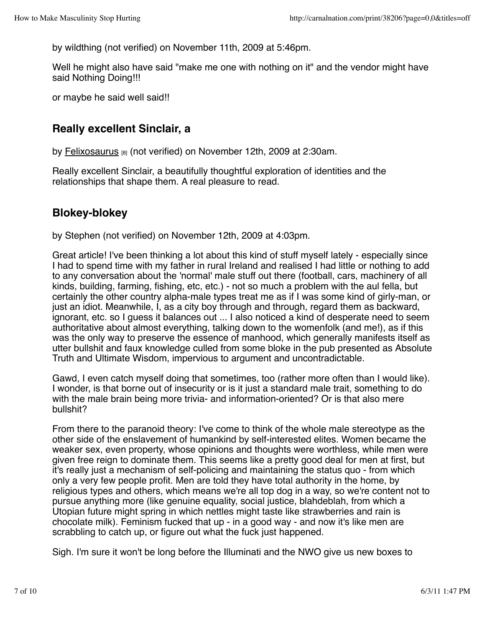by wildthing (not verified) on November 11th, 2009 at 5:46pm.

Well he might also have said "make me one with nothing on it" and the vendor might have said Nothing Doing!!!

or maybe he said well said!!

#### **Really excellent Sinclair, a**

by Felixosaurus [8] (not verified) on November 12th, 2009 at 2:30am.

Really excellent Sinclair, a beautifully thoughtful exploration of identities and the relationships that shape them. A real pleasure to read.

# **Blokey-blokey**

by Stephen (not verified) on November 12th, 2009 at 4:03pm.

Great article! I've been thinking a lot about this kind of stuff myself lately - especially since I had to spend time with my father in rural Ireland and realised I had little or nothing to add to any conversation about the 'normal' male stuff out there (football, cars, machinery of all kinds, building, farming, fishing, etc, etc.) - not so much a problem with the aul fella, but certainly the other country alpha-male types treat me as if I was some kind of girly-man, or just an idiot. Meanwhile, I, as a city boy through and through, regard them as backward, ignorant, etc. so I guess it balances out ... I also noticed a kind of desperate need to seem authoritative about almost everything, talking down to the womenfolk (and me!), as if this was the only way to preserve the essence of manhood, which generally manifests itself as utter bullshit and faux knowledge culled from some bloke in the pub presented as Absolute Truth and Ultimate Wisdom, impervious to argument and uncontradictable.

Gawd, I even catch myself doing that sometimes, too (rather more often than I would like). I wonder, is that borne out of insecurity or is it just a standard male trait, something to do with the male brain being more trivia- and information-oriented? Or is that also mere bullshit?

From there to the paranoid theory: I've come to think of the whole male stereotype as the other side of the enslavement of humankind by self-interested elites. Women became the weaker sex, even property, whose opinions and thoughts were worthless, while men were given free reign to dominate them. This seems like a pretty good deal for men at first, but it's really just a mechanism of self-policing and maintaining the status quo - from which only a very few people profit. Men are told they have total authority in the home, by religious types and others, which means we're all top dog in a way, so we're content not to pursue anything more (like genuine equality, social justice, blahdeblah, from which a Utopian future might spring in which nettles might taste like strawberries and rain is chocolate milk). Feminism fucked that up - in a good way - and now it's like men are scrabbling to catch up, or figure out what the fuck just happened.

Sigh. I'm sure it won't be long before the Illuminati and the NWO give us new boxes to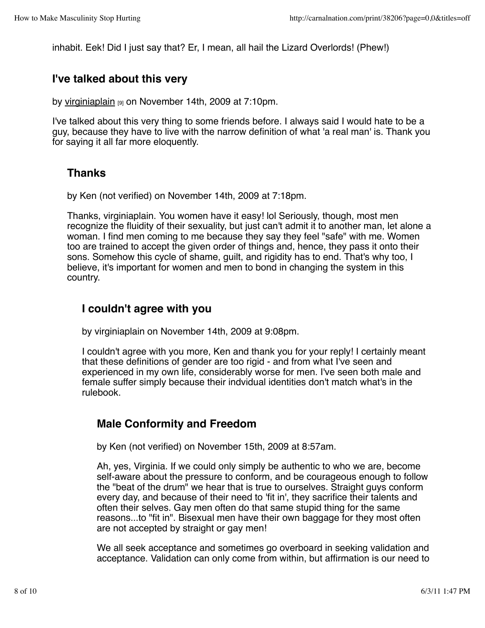inhabit. Eek! Did I just say that? Er, I mean, all hail the Lizard Overlords! (Phew!)

#### **I've talked about this very**

by virginiaplain [9] on November 14th, 2009 at 7:10pm.

I've talked about this very thing to some friends before. I always said I would hate to be a guy, because they have to live with the narrow definition of what 'a real man' is. Thank you for saying it all far more eloquently.

#### **Thanks**

by Ken (not verified) on November 14th, 2009 at 7:18pm.

Thanks, virginiaplain. You women have it easy! lol Seriously, though, most men recognize the fluidity of their sexuality, but just can't admit it to another man, let alone a woman. I find men coming to me because they say they feel "safe" with me. Women too are trained to accept the given order of things and, hence, they pass it onto their sons. Somehow this cycle of shame, guilt, and rigidity has to end. That's why too, I believe, it's important for women and men to bond in changing the system in this country.

#### **I couldn't agree with you**

by virginiaplain on November 14th, 2009 at 9:08pm.

I couldn't agree with you more, Ken and thank you for your reply! I certainly meant that these definitions of gender are too rigid - and from what I've seen and experienced in my own life, considerably worse for men. I've seen both male and female suffer simply because their indvidual identities don't match what's in the rulebook.

## **Male Conformity and Freedom**

by Ken (not verified) on November 15th, 2009 at 8:57am.

Ah, yes, Virginia. If we could only simply be authentic to who we are, become self-aware about the pressure to conform, and be courageous enough to follow the "beat of the drum" we hear that is true to ourselves. Straight guys conform every day, and because of their need to 'fit in', they sacrifice their talents and often their selves. Gay men often do that same stupid thing for the same reasons...to "fit in". Bisexual men have their own baggage for they most often are not accepted by straight or gay men!

We all seek acceptance and sometimes go overboard in seeking validation and acceptance. Validation can only come from within, but affirmation is our need to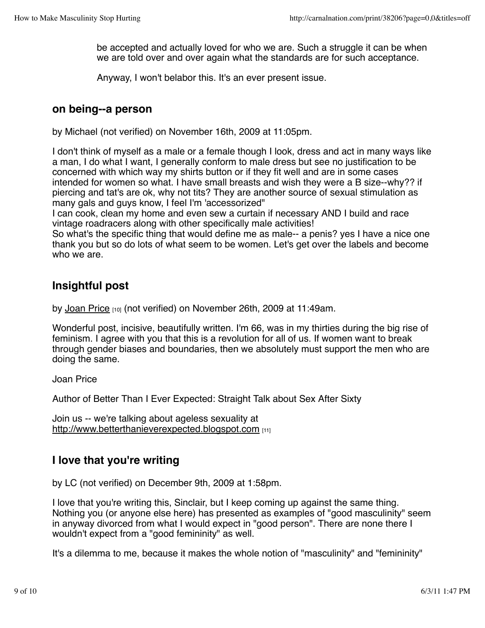be accepted and actually loved for who we are. Such a struggle it can be when we are told over and over again what the standards are for such acceptance.

Anyway, I won't belabor this. It's an ever present issue.

#### **on being--a person**

by Michael (not verified) on November 16th, 2009 at 11:05pm.

I don't think of myself as a male or a female though I look, dress and act in many ways like a man, I do what I want, I generally conform to male dress but see no justification to be concerned with which way my shirts button or if they fit well and are in some cases intended for women so what. I have small breasts and wish they were a B size--why?? if piercing and tat's are ok, why not tits? They are another source of sexual stimulation as many gals and guys know, I feel I'm 'accessorized"

I can cook, clean my home and even sew a curtain if necessary AND I build and race vintage roadracers along with other specifically male activities!

So what's the specific thing that would define me as male-- a penis? yes I have a nice one thank you but so do lots of what seem to be women. Let's get over the labels and become who we are.

#### **Insightful post**

by Joan Price [10] (not verified) on November 26th, 2009 at 11:49am.

Wonderful post, incisive, beautifully written. I'm 66, was in my thirties during the big rise of feminism. I agree with you that this is a revolution for all of us. If women want to break through gender biases and boundaries, then we absolutely must support the men who are doing the same.

Joan Price

Author of Better Than I Ever Expected: Straight Talk about Sex After Sixty

Join us -- we're talking about ageless sexuality at http://www.betterthanieverexpected.blogspot.com

## **I love that you're writing**

by LC (not verified) on December 9th, 2009 at 1:58pm.

I love that you're writing this, Sinclair, but I keep coming up against the same thing. Nothing you (or anyone else here) has presented as examples of "good masculinity" seem in anyway divorced from what I would expect in "good person". There are none there I wouldn't expect from a "good femininity" as well.

It's a dilemma to me, because it makes the whole notion of "masculinity" and "femininity"